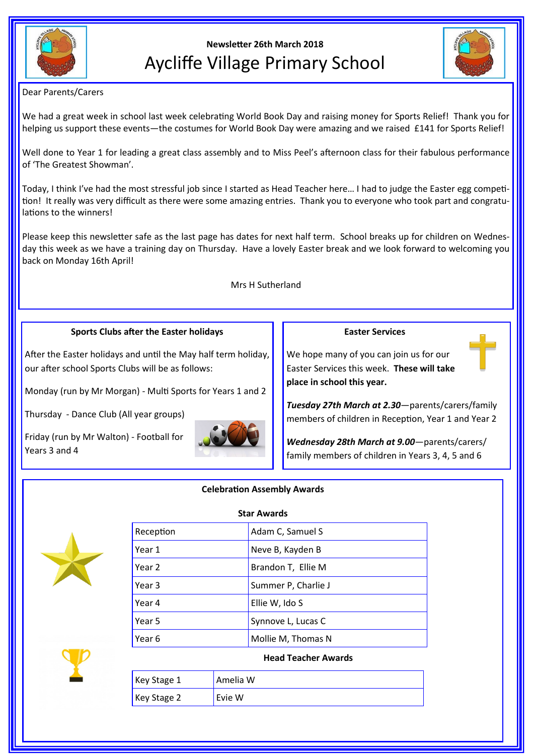

# **Newsletter 26th March 2018** Aycliffe Village Primary School



Dear Parents/Carers

We had a great week in school last week celebrating World Book Day and raising money for Sports Relief! Thank you for helping us support these events—the costumes for World Book Day were amazing and we raised £141 for Sports Relief!

Well done to Year 1 for leading a great class assembly and to Miss Peel's afternoon class for their fabulous performance of 'The Greatest Showman'.

Today, I think I've had the most stressful job since I started as Head Teacher here… I had to judge the Easter egg competition! It really was very difficult as there were some amazing entries. Thank you to everyone who took part and congratulations to the winners!

Please keep this newsletter safe as the last page has dates for next half term. School breaks up for children on Wednesday this week as we have a training day on Thursday. Have a lovely Easter break and we look forward to welcoming you back on Monday 16th April!

Mrs H Sutherland

## **Sports Clubs after the Easter holidays**

After the Easter holidays and until the May half term holiday, our after school Sports Clubs will be as follows:

Monday (run by Mr Morgan) - Multi Sports for Years 1 and 2

Thursday - Dance Club (All year groups)

Friday (run by Mr Walton) - Football for Years 3 and 4



#### **Easter Services**

We hope many of you can join us for our Easter Services this week. **These will take place in school this year.**

*Tuesday 27th March at 2.30*—parents/carers/family members of children in Reception, Year 1 and Year 2

*Wednesday 28th March at 9.00*—parents/carers/ family members of children in Years 3, 4, 5 and 6

#### **Celebration Assembly Awards**



| <b>Star Awards</b>  |  |
|---------------------|--|
| Adam C, Samuel S    |  |
| Neve B, Kayden B    |  |
| Brandon T, Ellie M  |  |
| Summer P, Charlie J |  |
| Ellie W, Ido S      |  |
| Synnove L, Lucas C  |  |
| Mollie M, Thomas N  |  |
|                     |  |

#### **Head Teacher Awards**

| Key Stage $1$ | Amelia W |
|---------------|----------|
| Key Stage 2   | Evie W   |

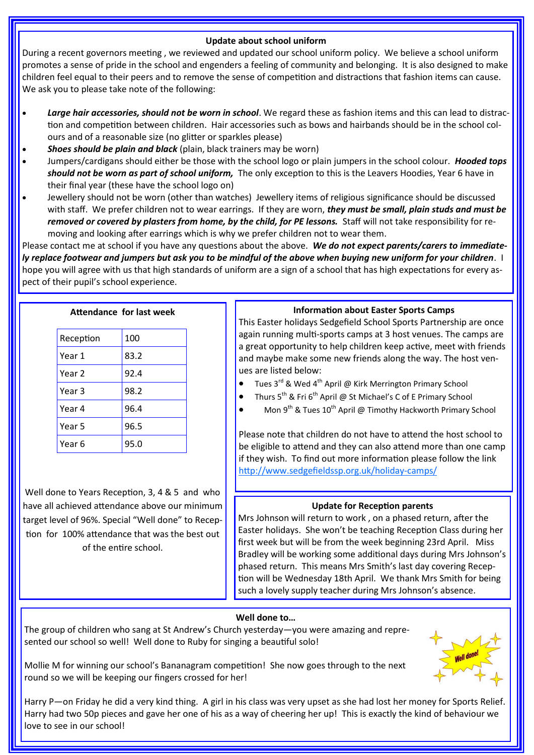### **Update about school uniform**

During a recent governors meeting , we reviewed and updated our school uniform policy. We believe a school uniform promotes a sense of pride in the school and engenders a feeling of community and belonging. It is also designed to make children feel equal to their peers and to remove the sense of competition and distractions that fashion items can cause. We ask you to please take note of the following:

- *Large hair accessories, should not be worn in school*. We regard these as fashion items and this can lead to distraction and competition between children. Hair accessories such as bows and hairbands should be in the school colours and of a reasonable size (no glitter or sparkles please)
- *Shoes should be plain and black* (plain, black trainers may be worn)
- Jumpers/cardigans should either be those with the school logo or plain jumpers in the school colour. *Hooded tops should not be worn as part of school uniform,* The only exception to this is the Leavers Hoodies, Year 6 have in their final year (these have the school logo on)
- Jewellery should not be worn (other than watches) Jewellery items of religious significance should be discussed with staff. We prefer children not to wear earrings. If they are worn, *they must be small, plain studs and must be removed or covered by plasters from home, by the child, for PE lessons.* Staff will not take responsibility for removing and looking after earrings which is why we prefer children not to wear them.

Please contact me at school if you have any questions about the above. *We do not expect parents/carers to immediately replace footwear and jumpers but ask you to be mindful of the above when buying new uniform for your children*. I hope you will agree with us that high standards of uniform are a sign of a school that has high expectations for every aspect of their pupil's school experience.

| Reception | 100  |
|-----------|------|
| Year 1    | 83.2 |
| Year 2    | 92.4 |
| Year 3    | 98.2 |
| Year 4    | 96.4 |
| Year 5    | 96.5 |
| Year 6    | 95.0 |

Well done to Years Reception, 3, 4 & 5 and who have all achieved attendance above our minimum target level of 96%. Special "Well done" to Reception for 100% attendance that was the best out of the entire school.

### **Information about Easter Sports Camps**

This Easter holidays Sedgefield School Sports Partnership are once again running multi-sports camps at 3 host venues. The camps are a great opportunity to help children keep active, meet with friends and maybe make some new friends along the way. The host venues are listed below:

- Tues 3<sup>rd</sup> & Wed 4<sup>th</sup> April @ Kirk Merrington Primary School
- Thurs 5<sup>th</sup> & Fri 6<sup>th</sup> April @ St Michael's C of E Primary School
- Mon 9<sup>th</sup> & Tues 10<sup>th</sup> April @ Timothy Hackworth Primary School

Please note that children do not have to attend the host school to be eligible to attend and they can also attend more than one camp if they wish. To find out more information please follow the link [http://www.sedgefieldssp.org.uk/holiday](https://mail.durhamschools.org.uk/owa/p2411.admin@durhamlearning.net/redir.aspx?C=jNGtdJPK7kq1rKxhY0z4yP3Q_NQsk9UIAHTgjlPtGoTSJOyUt8xUxsaZ4uTzpTejCsVhTRM2wPI.&URL=http%3a%2f%2fwww.sedgefieldssp.org.uk%2fholiday-camps%2f)-camps/

## **Update for Reception parents**

Mrs Johnson will return to work , on a phased return, after the Easter holidays. She won't be teaching Reception Class during her first week but will be from the week beginning 23rd April. Miss Bradley will be working some additional days during Mrs Johnson's phased return. This means Mrs Smith's last day covering Reception will be Wednesday 18th April. We thank Mrs Smith for being such a lovely supply teacher during Mrs Johnson's absence.

## **Well done to…**

The group of children who sang at St Andrew's Church yesterday—you were amazing and represented our school so well! Well done to Ruby for singing a beautiful solo!

Mollie M for winning our school's Bananagram competition! She now goes through to the next round so we will be keeping our fingers crossed for her!



Harry P—on Friday he did a very kind thing. A girl in his class was very upset as she had lost her money for Sports Relief. Harry had two 50p pieces and gave her one of his as a way of cheering her up! This is exactly the kind of behaviour we love to see in our school!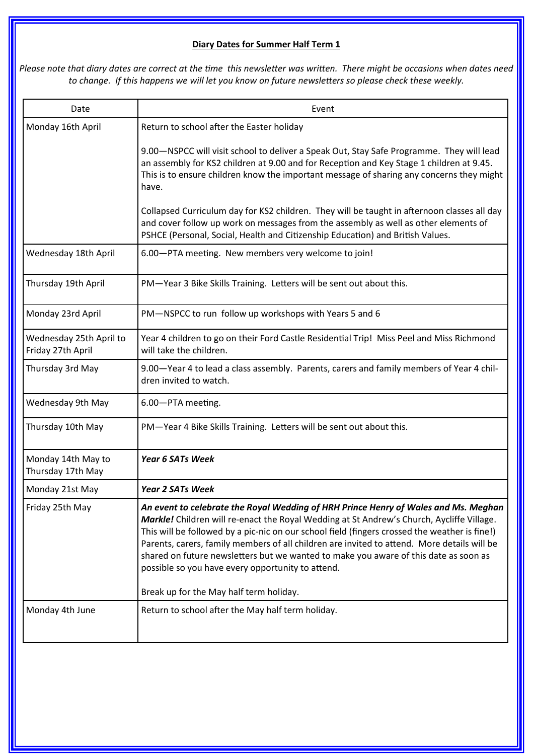## **Diary Dates for Summer Half Term 1**

*Please note that diary dates are correct at the time this newsletter was written. There might be occasions when dates need to change. If this happens we will let you know on future newsletters so please check these weekly.*

| Date                                         | Event                                                                                                                                                                                                                                                                                                                                                                                                                                                                                                                         |
|----------------------------------------------|-------------------------------------------------------------------------------------------------------------------------------------------------------------------------------------------------------------------------------------------------------------------------------------------------------------------------------------------------------------------------------------------------------------------------------------------------------------------------------------------------------------------------------|
| Monday 16th April                            | Return to school after the Easter holiday                                                                                                                                                                                                                                                                                                                                                                                                                                                                                     |
|                                              | 9.00-NSPCC will visit school to deliver a Speak Out, Stay Safe Programme. They will lead<br>an assembly for KS2 children at 9.00 and for Reception and Key Stage 1 children at 9.45.<br>This is to ensure children know the important message of sharing any concerns they might<br>have.                                                                                                                                                                                                                                     |
|                                              | Collapsed Curriculum day for KS2 children. They will be taught in afternoon classes all day<br>and cover follow up work on messages from the assembly as well as other elements of<br>PSHCE (Personal, Social, Health and Citizenship Education) and British Values.                                                                                                                                                                                                                                                          |
| Wednesday 18th April                         | 6.00-PTA meeting. New members very welcome to join!                                                                                                                                                                                                                                                                                                                                                                                                                                                                           |
| Thursday 19th April                          | PM-Year 3 Bike Skills Training. Letters will be sent out about this.                                                                                                                                                                                                                                                                                                                                                                                                                                                          |
| Monday 23rd April                            | PM-NSPCC to run follow up workshops with Years 5 and 6                                                                                                                                                                                                                                                                                                                                                                                                                                                                        |
| Wednesday 25th April to<br>Friday 27th April | Year 4 children to go on their Ford Castle Residential Trip! Miss Peel and Miss Richmond<br>will take the children.                                                                                                                                                                                                                                                                                                                                                                                                           |
| Thursday 3rd May                             | 9.00—Year 4 to lead a class assembly. Parents, carers and family members of Year 4 chil-<br>dren invited to watch.                                                                                                                                                                                                                                                                                                                                                                                                            |
| Wednesday 9th May                            | 6.00-PTA meeting.                                                                                                                                                                                                                                                                                                                                                                                                                                                                                                             |
| Thursday 10th May                            | PM-Year 4 Bike Skills Training. Letters will be sent out about this.                                                                                                                                                                                                                                                                                                                                                                                                                                                          |
| Monday 14th May to<br>Thursday 17th May      | <b>Year 6 SATs Week</b>                                                                                                                                                                                                                                                                                                                                                                                                                                                                                                       |
| Monday 21st May                              | <b>Year 2 SATs Week</b>                                                                                                                                                                                                                                                                                                                                                                                                                                                                                                       |
| Friday 25th May                              | An event to celebrate the Royal Wedding of HRH Prince Henry of Wales and Ms. Meghan<br>Markle! Children will re-enact the Royal Wedding at St Andrew's Church, Aycliffe Village.<br>This will be followed by a pic-nic on our school field (fingers crossed the weather is fine!)<br>Parents, carers, family members of all children are invited to attend. More details will be<br>shared on future newsletters but we wanted to make you aware of this date as soon as<br>possible so you have every opportunity to attend. |
|                                              | Break up for the May half term holiday.                                                                                                                                                                                                                                                                                                                                                                                                                                                                                       |
| Monday 4th June                              | Return to school after the May half term holiday.                                                                                                                                                                                                                                                                                                                                                                                                                                                                             |